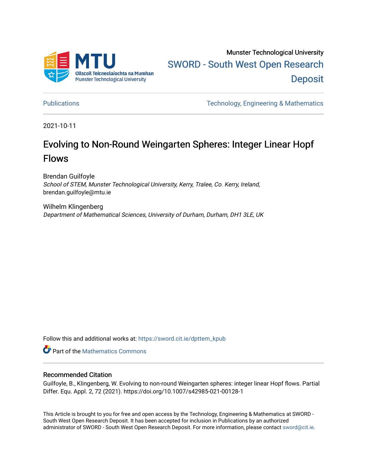

Munster Technological University [SWORD - South West Open Research](https://sword.cit.ie/)  **Deposit** 

[Publications](https://sword.cit.ie/dpttem_kpub) [Technology, Engineering & Mathematics](https://sword.cit.ie/dpttem_k) 

2021-10-11

# Evolving to Non-Round Weingarten Spheres: Integer Linear Hopf Flows

Brendan Guilfoyle School of STEM, Munster Technological University, Kerry, Tralee, Co. Kerry, Ireland, brendan.guilfoyle@mtu.ie

Wilhelm Klingenberg Department of Mathematical Sciences, University of Durham, Durham, DH1 3LE, UK

Follow this and additional works at: [https://sword.cit.ie/dpttem\\_kpub](https://sword.cit.ie/dpttem_kpub?utm_source=sword.cit.ie%2Fdpttem_kpub%2F20&utm_medium=PDF&utm_campaign=PDFCoverPages) 

**Part of the [Mathematics Commons](http://network.bepress.com/hgg/discipline/174?utm_source=sword.cit.ie%2Fdpttem_kpub%2F20&utm_medium=PDF&utm_campaign=PDFCoverPages)** 

# Recommended Citation

Guilfoyle, B., Klingenberg, W. Evolving to non-round Weingarten spheres: integer linear Hopf flows. Partial Differ. Equ. Appl. 2, 72 (2021). https://doi.org/10.1007/s42985-021-00128-1

This Article is brought to you for free and open access by the Technology, Engineering & Mathematics at SWORD - South West Open Research Deposit. It has been accepted for inclusion in Publications by an authorized administrator of SWORD - South West Open Research Deposit. For more information, please contact [sword@cit.ie.](mailto:sword@cit.ie)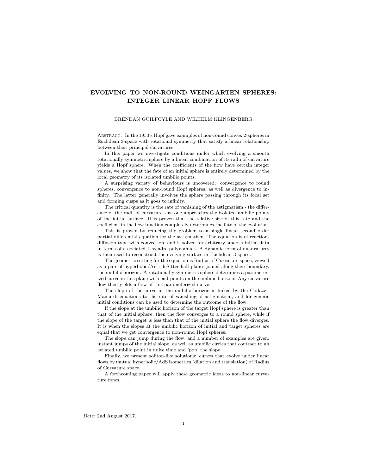# EVOLVING TO NON-ROUND WEINGARTEN SPHERES: INTEGER LINEAR HOPF FLOWS

## BRENDAN GUILFOYLE AND WILHELM KLINGENBERG

Abstract. In the 1950's Hopf gave examples of non-round convex 2-spheres in Euclidean 3-space with rotational symmetry that satisfy a linear relationship between their principal curvatures.

In this paper we investigate conditions under which evolving a smooth rotationally symmetric sphere by a linear combination of its radii of curvature yields a Hopf sphere. When the coefficients of the flow have certain integer values, we show that the fate of an initial sphere is entirely determined by the local geometry of its isolated umbilic points.

A surprising variety of behaviours is uncovered: convergence to round spheres, convergence to non-round Hopf spheres, as well as divergence to infinity. The latter generally involves the sphere passing through its focal set and forming cusps as it goes to infinity.

The critical quantity is the rate of vanishing of the astigmatism - the difference of the radii of curvature - as one approaches the isolated umbilic points of the initial surface. It is proven that the relative size of this rate and the coefficient in the flow function completely determines the fate of the evolution.

This is proven by reducing the problem to a single linear second order partial differential equation for the astigmatism. The equation is of reactiondiffusion type with convection, and is solved for arbitrary smooth initial data in terms of associated Legendre polynomials. A dynamic form of quadratures is then used to reconstruct the evolving surface in Euclidean 3-space.

The geometric setting for the equation is Radius of Curvature space, viewed as a pair of hyperbolic/Anti-deSitter half-planes joined along their boundary, the umbilic horizon. A rotationally symmetric sphere determines a parameterized curve in this plane with end-points on the umbilic horizon. Any curvature flow then yields a flow of this parameterized curve.

The slope of the curve at the umbilic horizon is linked by the Codazzi-Mainardi equations to the rate of vanishing of astigmatism, and for generic initial conditions can be used to determine the outcome of the flow.

If the slope at the umbilic horizon of the target Hopf sphere is greater than that of the initial sphere, then the flow converges to a round sphere, while if the slope of the target is less than that of the initial sphere the flow diverges. It is when the slopes at the umbilic horizon of initial and target spheres are equal that we get convergence to non-round Hopf spheres.

The slope can jump during the flow, and a number of examples are given: instant jumps of the initial slope, as well as umbilic circles that contract to an isolated umbilic point in finite time and 'pop' the slope.

Finally, we present soliton-like solutions: curves that evolve under linear flows by mutual hyperbolic/AdS isometries (dilation and translation) of Radius of Curvature space.

A forthcoming paper will apply these geometric ideas to non-linear curvature flows.

Date: 2nd August 2017.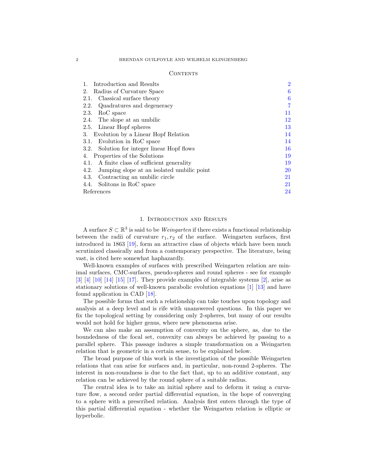#### **CONTENTS**

| Introduction and Results<br>1.                     | $\overline{2}$ |
|----------------------------------------------------|----------------|
| Radius of Curvature Space<br>2.                    | 6              |
| Classical surface theory<br>2.1.                   | 6              |
| Quadratures and degeneracy<br>2.2.                 | 7              |
| RoC space<br>2.3.                                  | 11             |
| 2.4. The slope at an umbilic                       | 12             |
| 2.5. Linear Hopf spheres                           | 13             |
| Evolution by a Linear Hopf Relation<br>3.          | 14             |
| Evolution in RoC space<br>3.1.                     | 14             |
| 3.2. Solution for integer linear Hopf flows        | 16             |
| Properties of the Solutions<br>4.                  | 19             |
| 4.1. A finite class of sufficient generality       | 19             |
| Jumping slope at an isolated umbilic point<br>4.2. | <b>20</b>      |
| Contracting an umbilic circle<br>4.3.              | 21             |
| Solitons in RoC space<br>4.4.                      | 21             |
| References                                         | 24             |

## 1. Introduction and Results

<span id="page-2-0"></span>A surface  $S \subset \mathbb{R}^3$  is said to be *Weingarten* if there exists a functional relationship between the radii of curvature  $r_1, r_2$  of the surface. Weingarten surfaces, first introduced in 1863 [\[19\]](#page-24-1), form an attractive class of objects which have been much scrutinized classically and from a contemporary perspective. The literature, being vast, is cited here somewhat haphazardly.

Well-known examples of surfaces with prescribed Weingarten relation are minimal surfaces, CMC-surfaces, pseudo-spheres and round spheres - see for example  $\begin{bmatrix} 3 & 4 & 10 \\ 4 & 15 & 17 \end{bmatrix}$ . They provide examples of integrable systems  $\begin{bmatrix} 2 \\ 1 \end{bmatrix}$ , arise as stationary solutions of well-known parabolic evolution equations [\[1\]](#page-24-9) [\[13\]](#page-24-10) and have found application in CAD [\[18\]](#page-24-11).

The possible forms that such a relationship can take touches upon topology and analysis at a deep level and is rife with unanswered questions. In this paper we fix the topological setting by considering only 2-spheres, but many of our results would not hold for higher genus, where new phenomena arise.

We can also make an assumption of convexity on the sphere, as, due to the boundedness of the focal set, convexity can always be achieved by passing to a parallel sphere. This passage induces a simple transformation on a Weingarten relation that is geometric in a certain sense, to be explained below.

The broad purpose of this work is the investigation of the possible Weingarten relations that can arise for surfaces and, in particular, non-round 2-spheres. The interest in non-roundness is due to the fact that, up to an additive constant, any relation can be achieved by the round sphere of a suitable radius.

The central idea is to take an initial sphere and to deform it using a curvature flow, a second order partial differential equation, in the hope of converging to a sphere with a prescribed relation. Analysis first enters through the type of this partial differential equation - whether the Weingarten relation is elliptic or hyperbolic.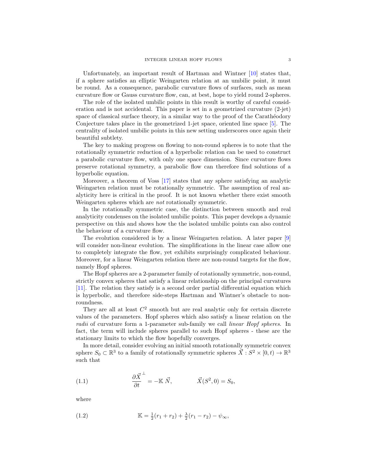Unfortunately, an important result of Hartman and Wintner [\[10\]](#page-24-4) states that, if a sphere satisfies an elliptic Weingarten relation at an umbilic point, it must be round. As a consequence, parabolic curvature flows of surfaces, such as mean curvature flow or Gauss curvature flow, can, at best, hope to yield round 2-spheres.

The role of the isolated umbilic points in this result is worthy of careful consideration and is not accidental. This paper is set in a geometrized curvature (2-jet) space of classical surface theory, in a similar way to the proof of the Caratheodory Conjecture takes place in the geometrized 1-jet space, oriented line space [\[5\]](#page-24-12). The centrality of isolated umbilic points in this new setting underscores once again their beautiful subtlety.

The key to making progress on flowing to non-round spheres is to note that the rotationally symmetric reduction of a hyperbolic relation can be used to construct a parabolic curvature flow, with only one space dimension. Since curvature flows preserve rotational symmetry, a parabolic flow can therefore find solutions of a hyperbolic equation.

Moreover, a theorem of Voss [\[17\]](#page-24-7) states that any sphere satisfying an analytic Weingarten relation must be rotationally symmetric. The assumption of real analyticity here is critical in the proof. It is not known whether there exist smooth Weingarten spheres which are not rotationally symmetric.

In the rotationally symmetric case, the distinction between smooth and real analyticity condenses on the isolated umbilic points. This paper develops a dynamic perspective on this and shows how the the isolated umbilic points can also control the behaviour of a curvature flow.

The evolution considered is by a linear Weingarten relation. A later paper [\[9\]](#page-24-13) will consider non-linear evolution. The simplifications in the linear case allow one to completely integrate the flow, yet exhibits surprisingly complicated behaviour. Moreover, for a linear Weingarten relation there are non-round targets for the flow, namely Hopf spheres.

The Hopf spheres are a 2-parameter family of rotationally symmetric, non-round, strictly convex spheres that satisfy a linear relationship on the principal curvatures [\[11\]](#page-24-14). The relation they satisfy is a second order partial differential equation which is hyperbolic, and therefore side-steps Hartman and Wintner's obstacle to nonroundness.

They are all at least  $C^2$  smooth but are real analytic only for certain discrete values of the parameters. Hopf spheres which also satisfy a linear relation on the radii of curvature form a 1-parameter sub-family we call linear Hopf spheres. In fact, the term will include spheres parallel to such Hopf spheres - these are the stationary limits to which the flow hopefully converges.

In more detail, consider evolving an initial smooth rotationally symmetric convex sphere  $S_0 \subset \mathbb{R}^3$  to a family of rotationally symmetric spheres  $\vec{X} : S^2 \times [0, t) \to \mathbb{R}^3$ such that

<span id="page-3-0"></span>(1.1) 
$$
\frac{\partial \vec{X}}{\partial t}^{\perp} = -\mathbb{K} \ \vec{N}, \qquad \qquad \vec{X}(S^2, 0) = S_0,
$$

where

<span id="page-3-1"></span>(1.2) 
$$
\mathbb{K} = \frac{1}{2}(r_1 + r_2) + \frac{\lambda}{2}(r_1 - r_2) - \psi_{\infty},
$$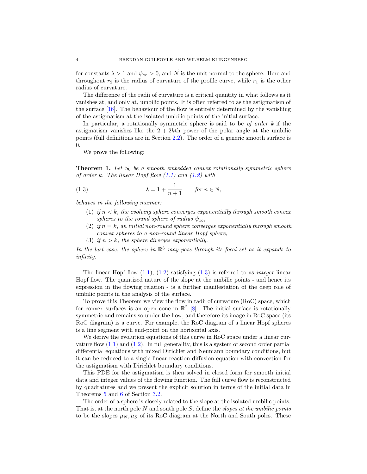for constants  $\lambda > 1$  and  $\psi_{\infty} > 0$ , and  $\vec{N}$  is the unit normal to the sphere. Here and throughout  $r_2$  is the radius of curvature of the profile curve, while  $r_1$  is the other radius of curvature.

The difference of the radii of curvature is a critical quantity in what follows as it vanishes at, and only at, umbilic points. It is often referred to as the astigmatism of the surface [\[16\]](#page-24-15). The behaviour of the flow is entirely determined by the vanishing of the astigmatism at the isolated umbilic points of the initial surface.

In particular, a rotationally symmetric sphere is said to be of order  $k$  if the astigmatism vanishes like the  $2 + 2k$ th power of the polar angle at the umbilic points (full definitions are in Section [2.2\)](#page-7-0). The order of a generic smooth surface is 0.

We prove the following:

<span id="page-4-1"></span>**Theorem 1.** Let  $S_0$  be a smooth embedded convex rotationally symmetric sphere of order k. The linear Hopf flow  $(1.1)$  and  $(1.2)$  with

(1.3) 
$$
\lambda = 1 + \frac{1}{n+1} \quad \text{for } n \in \mathbb{N},
$$

behaves in the following manner:

- <span id="page-4-0"></span>(1) if  $n < k$ , the evolving sphere converges exponentially through smooth convex spheres to the round sphere of radius  $\psi_{\infty}$ ,
- (2) if  $n = k$ , an initial non-round sphere converges exponentially through smooth convex spheres to a non-round linear Hopf sphere,
- (3) if  $n > k$ , the sphere diverges exponentially.

In the last case, the sphere in  $\mathbb{R}^3$  may pass through its focal set as it expands to infinity.

The linear Hopf flow  $(1.1)$ ,  $(1.2)$  satisfying  $(1.3)$  is referred to as *integer* linear Hopf flow. The quantized nature of the slope at the umbilic points - and hence its expression in the flowing relation - is a further manifestation of the deep role of umbilic points in the analysis of the surface.

To prove this Theorem we view the flow in radii of curvature (RoC) space, which for convex surfaces is an open cone in  $\mathbb{R}^2$  [\[8\]](#page-24-16). The initial surface is rotationally symmetric and remains so under the flow, and therefore its image in RoC space (its RoC diagram) is a curve. For example, the RoC diagram of a linear Hopf spheres is a line segment with end-point on the horizontal axis.

We derive the evolution equations of this curve in RoC space under a linear curvature flow  $(1.1)$  and  $(1.2)$ . In full generality, this is a system of second order partial differential equations with mixed Dirichlet and Neumann boundary conditions, but it can be reduced to a single linear reaction-diffusion equation with convection for the astigmatism with Dirichlet boundary conditions.

This PDE for the astigmatism is then solved in closed form for smooth initial data and integer values of the flowing function. The full curve flow is reconstructed by quadratures and we present the explicit solution in terms of the initial data in Theorems [5](#page-16-1) and [6](#page-18-0) of Section [3.2.](#page-16-0)

The order of a sphere is closely related to the slope at the isolated umbilic points. That is, at the north pole N and south pole S, define the *slopes at the umbilic points* to be the slopes  $\mu_N$ ,  $\mu_S$  of its RoC diagram at the North and South poles. These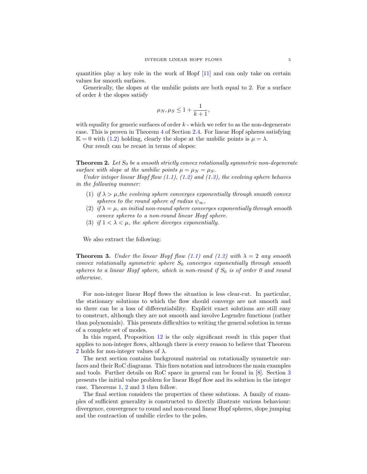quantities play a key role in the work of Hopf [\[11\]](#page-24-14) and can only take on certain values for smooth surfaces.

Generically, the slopes at the umbilic points are both equal to 2. For a surface of order  $k$  the slopes satisfy

$$
\mu_N, \mu_S \leq 1 + \frac{1}{k+1},
$$

with equality for generic surfaces of order  $k$  - which we refer to as the non-degenerate case. This is proven in Theorem [4](#page-12-1) of Section [2.4.](#page-12-0) For linear Hopf spheres satisfying  $\mathbb{K} = 0$  with [\(1.2\)](#page-3-1) holding, clearly the slope at the umbilic points is  $\mu = \lambda$ .

Our result can be recast in terms of slopes:

<span id="page-5-0"></span>**Theorem 2.** Let  $S_0$  be a smooth strictly convex rotationally symmetric non-degenerate surface with slope at the umbilic points  $\mu = \mu_N = \mu_S$ .

Under integer linear Hopf flow  $(1.1)$ ,  $(1.2)$  and  $(1.3)$ , the evolving sphere behaves in the following manner:

- (1) if  $\lambda > \mu$ , the evolving sphere converges exponentially through smooth convex spheres to the round sphere of radius  $\psi_{\infty}$ ,
- (2) if  $\lambda = \mu$ , an initial non-round sphere converges exponentially through smooth convex spheres to a non-round linear Hopf sphere.
- (3) if  $1 < \lambda < \mu$ , the sphere diverges exponentially.

We also extract the following:

<span id="page-5-1"></span>**Theorem 3.** Under the linear Hopf flow [\(1.1\)](#page-3-0) and [\(1.2\)](#page-3-1) with  $\lambda = 2$  any smooth convex rotationally symmetric sphere  $S_0$  converges exponentially through smooth spheres to a linear Hopf sphere, which is non-round if  $S_0$  is of order 0 and round otherwise.

For non-integer linear Hopf flows the situation is less clear-cut. In particular, the stationary solutions to which the flow should converge are not smooth and so there can be a loss of differentiability. Explicit exact solutions are still easy to construct, although they are not smooth and involve Legendre functions (rather than polynomials). This presents difficulties to writing the general solution in terms of a complete set of modes.

In this regard, Proposition [12](#page-22-0) is the only significant result in this paper that applies to non-integer flows, although there is every reason to believe that Theorem [2](#page-5-0) holds for non-integer values of  $\lambda$ .

The next section contains background material on rotationally symmetric surfaces and their RoC diagrams. This fixes notation and introduces the main examples and tools. Further details on RoC space in general can be found in [\[8\]](#page-24-16). Section [3](#page-14-0) presents the initial value problem for linear Hopf flow and its solution in the integer case. Theorems [1,](#page-4-1) [2](#page-5-0) and [3](#page-5-1) then follow.

The final section considers the properties of these solutions. A family of examples of sufficient generality is constructed to directly illustrate various behaviour: divergence, convergence to round and non-round linear Hopf spheres, slope jumping and the contraction of umbilic circles to the poles.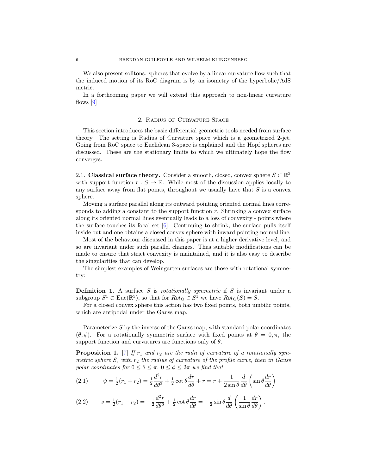We also present solitons: spheres that evolve by a linear curvature flow such that the induced motion of its RoC diagram is by an isometry of the hyperbolic/AdS metric.

In a forthcoming paper we will extend this approach to non-linear curvature flows [\[9\]](#page-24-13)

## 2. Radius of Curvature Space

<span id="page-6-0"></span>This section introduces the basic differential geometric tools needed from surface theory. The setting is Radius of Curvature space which is a geometrized 2-jet. Going from RoC space to Euclidean 3-space is explained and the Hopf spheres are discussed. These are the stationary limits to which we ultimately hope the flow converges.

<span id="page-6-1"></span>2.1. Classical surface theory. Consider a smooth, closed, convex sphere  $S \subset \mathbb{R}^3$ with support function  $r : S \to \mathbb{R}$ . While most of the discussion applies locally to any surface away from flat points, throughout we usually have that  $S$  is a convex sphere.

Moving a surface parallel along its outward pointing oriented normal lines corresponds to adding a constant to the support function  $r$ . Shrinking a convex surface along its oriented normal lines eventually leads to a loss of convexity - points where the surface touches its focal set  $[6]$ . Continuing to shrink, the surface pulls itself inside out and one obtains a closed convex sphere with inward pointing normal line.

Most of the behaviour discussed in this paper is at a higher derivative level, and so are invariant under such parallel changes. Thus suitable modifications can be made to ensure that strict convexity is maintained, and it is also easy to describe the singularities that can develop.

The simplest examples of Weingarten surfaces are those with rotational symmetry:

**Definition 1.** A surface S is *rotationally symmetric* if S is invariant under a subgroup  $S^1 \subset \text{Euc}(\mathbb{R}^3)$ , so that for  $Rot_{\Theta} \in S^1$  we have  $Rot_{\Theta}(S) = S$ .

For a closed convex sphere this action has two fixed points, both umbilic points, which are antipodal under the Gauss map.

Parameterize  $S$  by the inverse of the Gauss map, with standard polar coordinates  $(\theta, \phi)$ . For a rotationally symmetric surface with fixed points at  $\theta = 0, \pi$ , the support function and curvatures are functions only of  $\theta$ .

**Proposition 1.** [\[7\]](#page-24-18) If  $r_1$  and  $r_2$  are the radii of curvature of a rotationally symmetric sphere S, with  $r_2$  the radius of curvature of the profile curve, then in Gauss polar coordinates for  $0 \le \theta \le \pi$ ,  $0 \le \phi \le 2\pi$  we find that

<span id="page-6-2"></span>(2.1) 
$$
\psi = \frac{1}{2}(r_1 + r_2) = \frac{1}{2}\frac{d^2r}{d\theta^2} + \frac{1}{2}\cot\theta\frac{dr}{d\theta} + r = r + \frac{1}{2\sin\theta}\frac{d}{d\theta}\left(\sin\theta\frac{dr}{d\theta}\right)
$$

<span id="page-6-3"></span>(2.2) 
$$
s = \frac{1}{2}(r_1 - r_2) = -\frac{1}{2}\frac{d^2r}{d\theta^2} + \frac{1}{2}\cot\theta\frac{dr}{d\theta} = -\frac{1}{2}\sin\theta\frac{d}{d\theta}\left(\frac{1}{\sin\theta}\frac{dr}{d\theta}\right).
$$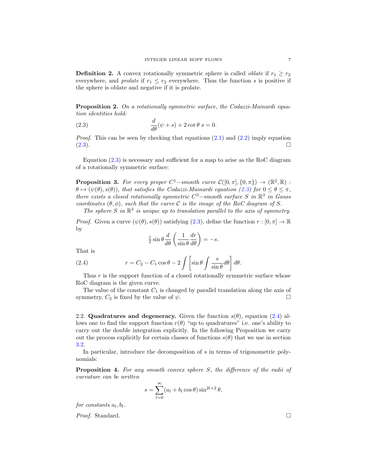**Definition 2.** A convex rotationally symmetric sphere is called *oblate* if  $r_1 \geq r_2$ everywhere, and *prolate* if  $r_1 \leq r_2$  everywhere. Thus the function s is positive if the sphere is oblate and negative if it is prolate.

**Proposition 2.** On a rotationally symmetric surface, the Codazzi-Mainardi equation identities hold:

<span id="page-7-1"></span>(2.3) 
$$
\frac{d}{d\theta}(\psi + s) + 2 \cot \theta \ s = 0.
$$

*Proof.* This can be seen by checking that equations  $(2.1)$  and  $(2.2)$  imply equation  $(2.3)$ .

Equation [\(2.3\)](#page-7-1) is necessary and sufficient for a map to arise as the RoC diagram of a rotationally symmetric surface:

**Proposition 3.** For every proper  $C^1$ -smooth curve  $C([0, \pi], \{0, \pi\}) \to (\mathbb{R}^2, \mathbb{R})$ :  $\theta \mapsto (\psi(\theta), s(\theta))$ , that satisfies the Codazzi-Mainardi equation [\(2.3\)](#page-7-1) for  $0 \le \theta \le \pi$ . there exists a closed rotationally symmetric  $C^3$  – smooth surface S in  $\mathbb{R}^3$  in Gauss coordinates  $(\theta, \phi)$ , such that the curve C is the image of the RoC diagram of S. The sphere S in  $\mathbb{R}^3$  is unique up to translation parallel to the axis of symmetry.

*Proof.* Given a curve  $(\psi(\theta), s(\theta))$  satisfying  $(2.3)$ , define the function  $r : [0, \pi] \to \mathbb{R}$ by

<span id="page-7-2"></span>
$$
\frac{1}{2}\sin\theta \frac{d}{d\theta} \left( \frac{1}{\sin\theta} \frac{dr}{d\theta} \right) = -s.
$$

That is

(2.4) 
$$
r = C_2 - C_1 \cos \theta - 2 \int \left[ \sin \theta \int \frac{s}{\sin \theta} d\theta \right] d\theta.
$$

Thus  $r$  is the support function of a closed rotationally symmetric surface whose RoC diagram is the given curve.

The value of the constant  $C_1$  is changed by parallel translation along the axis of symmetry,  $C_2$  is fixed by the value of  $\psi$ .

<span id="page-7-0"></span>2.2. Quadratures and degeneracy. Given the function  $s(\theta)$ , equation [\(2.4\)](#page-7-2) allows one to find the support function  $r(\theta)$  "up to quadratures" i.e. one's ability to carry out the double integration explicitly. In the following Proposition we carry out the process explicitly for certain classes of functions  $s(\theta)$  that we use in section [3.2.](#page-16-0)

In particular, introduce the decomposition of s in terms of trigonometric polynomials:

<span id="page-7-3"></span>Proposition 4. For any smooth convex sphere S, the difference of the radii of curvature can be written

$$
s = \sum_{l=0}^{\infty} (a_l + b_l \cos \theta) \sin^{2l+2} \theta,
$$

for constants  $a_l, b_l$ .

Proof. Standard. □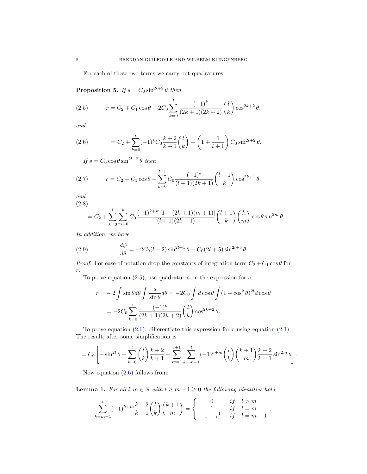For each of these two terms we carry out quadratures.

<span id="page-8-5"></span>**Proposition 5.** If  $s = C_0 \sin^{2l+2} \theta$  then

<span id="page-8-0"></span>(2.5) 
$$
r = C_2 + C_1 \cos \theta - 2C_0 \sum_{k=0}^{l} \frac{(-1)^k}{(2k+1)(2k+2)} {l \choose k} \cos^{2k+2} \theta,
$$

and

<span id="page-8-1"></span>(2.6) 
$$
= C_2 + \sum_{k=0}^{l} (-1)^k C_0 \frac{k+2}{k+1} {l \choose k} - \left(1 + \frac{1}{l+1}\right) C_0 \sin^{2l+2} \theta.
$$

<span id="page-8-2"></span>If  $s = C_0 \cos \theta \sin^{2l+2} \theta$  then

(2.7) 
$$
r = C_2 + C_1 \cos \theta - \sum_{k=0}^{l+1} C_0 \frac{(-1)^k}{(l+1)(2k+1)} {l+1 \choose k} \cos^{2k+1} \theta,
$$

and

$$
(2.8)
$$

<span id="page-8-3"></span>
$$
= C_2 + \sum_{k=0}^{l} \sum_{m=0}^{k} C_0 \frac{(-1)^{k+m} [1 - (2k+1)(m+1)]}{(l+1)(2k+1)} {l+1 \choose k} {k \choose m} \cos \theta \sin^{2m} \theta.
$$

In addition, we have

<span id="page-8-4"></span>(2.9) 
$$
\frac{d\psi}{d\theta} = -2C_0(l+2)\sin^{2l+1}\theta + C_0(2l+5)\sin^{2l+3}\theta.
$$

*Proof.* For ease of notation drop the constants of integration term  $C_2 + C_1 \cos \theta$  for  $r$ .

To prove equation  $(2.5)$ , use quadratures on the expression for s

$$
r = -2 \int \sin \theta d\theta \int \frac{s}{\sin \theta} d\theta = -2C_0 \int d \cos \theta \int (1 - \cos^2 \theta)^{2l} d \cos \theta
$$

$$
= -2C_0 \sum_{k=0}^{l} \frac{(-1)^k}{(2k+1)(2k+2)} {l \choose k} \cos^{2k+2} \theta.
$$

To prove equation  $(2.6)$ , differentiate this expression for r using equation  $(2.1)$ . The result, after some simplification is

$$
= C_0 \left[ -\sin^{2l}\theta + \sum_{k=0}^l \binom{l}{k} \frac{k+2}{k+1} + \sum_{m=1}^{l+1} \sum_{k=m-1}^l (-1)^{k+m} \binom{l}{k} \binom{k+1}{m} \frac{k+2}{k+1} \sin^{2m}\theta \right]
$$

.

.

Now equation  $(2.6)$  follows from:

**Lemma 1.** For all  $l, m \in \mathbb{N}$  with  $l \geq m - 1 \geq 0$  the following identities hold

$$
\sum_{k=m-1}^{l} (-1)^{k+m} \frac{k+2}{k+1} {l \choose k} {k+1 \choose m} = \begin{cases} 0 & \text{if } l > m \\ 1 & \text{if } l = m \\ -1 - \frac{1}{l+1} & \text{if } l = m-1 \end{cases}
$$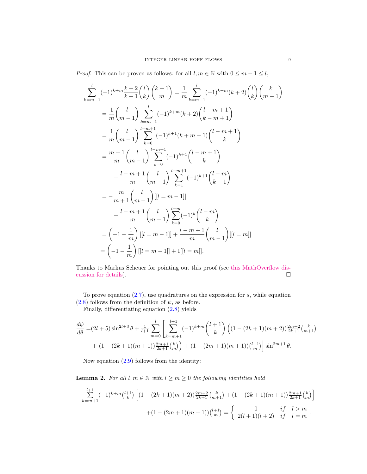*Proof.* This can be proven as follows: for all  $l, m \in \mathbb{N}$  with  $0 \leq m - 1 \leq l$ ,

 $\overline{\phantom{a}}$ 

$$
\sum_{k=m-1}^{l} (-1)^{k+m} \frac{k+2}{k+1} {l \choose k} {k+1 \choose m} = \frac{1}{m} \sum_{k=m-1}^{l} (-1)^{k+m} (k+2) {l \choose k} {k \choose m-1}
$$
  
\n
$$
= \frac{1}{m} {l \choose m-1} \sum_{k=m-1}^{l} (-1)^{k+m} (k+2) {l-m+1 \choose k-m+1}
$$
  
\n
$$
= \frac{1}{m} {l \choose m-1} \sum_{k=0}^{l-m+1} (-1)^{k+1} (k+m+1) {l-m+1 \choose k}
$$
  
\n
$$
= \frac{m+1}{m} {l \choose m-1} \sum_{k=0}^{l-m+1} (-1)^{k+1} {l-m+1 \choose k}
$$
  
\n
$$
+ \frac{l-m+1}{m} {l \choose m-1} \sum_{k=1}^{l-m+1} (-1)^{k+1} {l-m \choose k-1}
$$
  
\n
$$
= -\frac{m}{m+1} {l \choose m-1} [l=m-1]]
$$
  
\n
$$
+ \frac{l-m+1}{m} {l \choose m-1} \sum_{k=0}^{l-m} (-1)^{k} {l-m \choose k}
$$
  
\n
$$
= (-1-\frac{1}{m}) [l=m-1] + \frac{l-m+1}{m} {l \choose m-1} [l=m]
$$
  
\n
$$
= (-1-\frac{1}{m}) [l=m-1] + 1 [l=m]
$$

Thanks to Markus Scheuer for pointing out this proof (see [this MathOverflow dis](https://tinyurl.com/y7po8jnl)[cussion for details\)](https://tinyurl.com/y7po8jnl).

To prove equation  $(2.7)$ , use quadratures on the expression for s, while equation  $(2.8)$  follows from the definition of  $\psi$ , as before.

Finally, differentiating equation [\(2.8\)](#page-8-3) yields

$$
\frac{d\psi}{d\theta} = (2l+5)\sin^{2l+3}\theta + \frac{1}{l+1}\sum_{m=0}^{l} \left[ \sum_{k=m+1}^{l+1} (-1)^{k+m} \binom{l+1}{k} \left( (1-(2k+1)(m+2))\frac{2m+2}{2k+1} \binom{k}{m+1} \right) \right] + (1-(2k+1)(m+1))\frac{2m+1}{2k+1} \binom{k}{m} + (1-(2m+1)(m+1))\binom{l+1}{m} \sin^{2m+1}\theta.
$$

Now equation [\(2.9\)](#page-8-4) follows from the identity:

**Lemma 2.** For all  $l, m \in \mathbb{N}$  with  $l \geq m \geq 0$  the following identities hold

<span id="page-9-0"></span>
$$
\sum_{k=m+1}^{l+1} (-1)^{k+m} \binom{l+1}{k} \left[ (1 - (2k+1)(m+2)) \frac{2m+2}{2k+1} \binom{k}{m+1} + (1 - (2k+1)(m+1)) \frac{2m+1}{2k+1} \binom{k}{m} \right] + (1 - (2m+1)(m+1)) \binom{l+1}{m} = \begin{cases} 0 & \text{if } l > m \\ 2(l+1)(l+2) & \text{if } l = m \end{cases}.
$$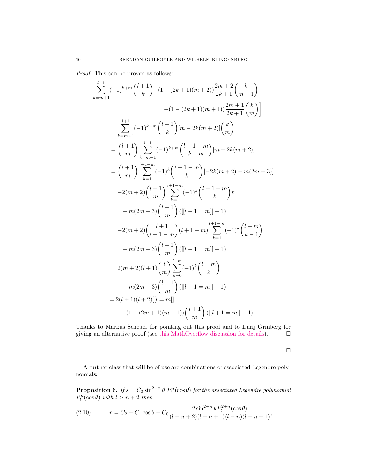Proof. This can be proven as follows:

$$
\sum_{k=m+1}^{l+1} (-1)^{k+m} {l+1 \choose k} \left[ (1 - (2k+1)(m+2)) \frac{2m+2}{2k+1} {k \choose m+1} \right]
$$
  
\n
$$
+ (1 - (2k+1)(m+1)) \frac{2m+1}{2k+1} {k \choose k} \right]
$$
  
\n
$$
= \sum_{k=m+1}^{l+1} (-1)^{k+m} {l+1 \choose k} [m-2k(m+2)] {k \choose m}
$$
  
\n
$$
= {l+1 \choose m} \sum_{k=m+1}^{l+1} (-1)^{k+m} {l+1-m \choose k-m} [m-2k(m+2)]
$$
  
\n
$$
= {l+1 \choose m} \sum_{k=1}^{l+1-m} (-1)^{k} {l+1-m \choose k} [-2k(m+2) - m(2m+3)]
$$
  
\n
$$
= -2(m+2) {l+1 \choose m} \sum_{k=1}^{l+1-m} (-1)^{k} {l+1-m \choose k} k
$$
  
\n
$$
-m(2m+3) {l+1 \choose m} ([[l+1=m]]-1)
$$
  
\n
$$
= -2(m+2) {l+1 \choose l+1-m} (l+1-m) \sum_{k=1}^{l+1-m} (-1)^{k} {l-m \choose k-1}
$$
  
\n
$$
-m(2m+3) {l+1 \choose m} ([[l+1=m]]-1)
$$
  
\n
$$
= 2(m+2)(l+1) {l \choose m} \sum_{k=0}^{l-m} (-1)^{k} {l-m \choose k}
$$
  
\n
$$
-m(2m+3) {l+1 \choose m} ([[l+1=m]]-1)
$$
  
\n
$$
= 2(l+1)(l+2) [[l=m]]
$$
  
\n
$$
-(1 - (2m+1)(m+1)) {l+1 \choose m} ([[l+1=m]]-1).
$$

Thanks to Markus Scheuer for pointing out this proof and to Darij Grinberg for giving an alternative proof (see [this MathOverflow discussion for details\)](https://mathoverflow.net/questions/278074/is-there-a-simple-proof-of-the-following-identity-part-2).  $\Box$ 

 $\Box$ 

A further class that will be of use are combinations of associated Legendre polynomials:

<span id="page-10-0"></span>**Proposition 6.** If  $s = C_0 \sin^{2+n} \theta P_l^n(\cos \theta)$  for the associated Legendre polynomial  $P_l^n(\cos\theta)$  with  $l > n+2$  then

(2.10) 
$$
r = C_2 + C_1 \cos \theta - C_0 \frac{2 \sin^{2+n} \theta P_l^{2+n}(\cos \theta)}{(l+n+2)(l+n+1)(l-n)(l-n-1)},
$$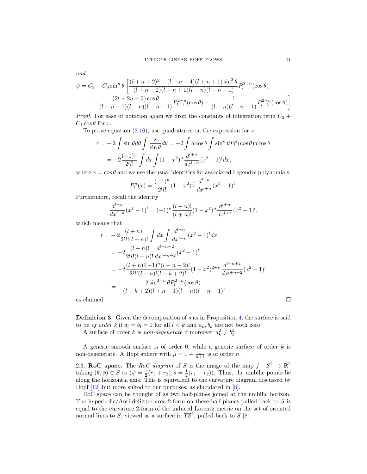$$
\psi = C_2 - C_0 \sin^n \theta \left[ \frac{(l+n+2)^2 - (l+n+4)(l+n+1)\sin^2 \theta}{(l+n+2)(l+n+1)(l-n)(l-n-1)} P_l^{2+n}(\cos \theta) - \frac{(2l+2n+3)\cos \theta}{(l+n+1)(l-n)(l-n-1)} P_{l-1}^{2+n}(\cos \theta) + \frac{1}{(l-n)(l-n-1)} P_{l-2}^{2+n}(\cos \theta) \right].
$$

*Proof.* For ease of notation again we drop the constants of integration term  $C_2$  +  $C_1 \cos \theta$  for r.

To prove equation  $(2.10)$ , use quadratures on the expression for s

$$
r = -2 \int \sin \theta d\theta \int \frac{s}{\sin \theta} d\theta = -2 \int d \cos \theta \int \sin^n \theta P_l^n(\cos \theta) d \cos \theta
$$

$$
= -2 \frac{(-1)^n}{2^l l!} \int dx \int (1 - x^2)^n \frac{d^{l+n}}{dx^{l+n}} (x^2 - 1)^l dx,
$$

where  $x = \cos \theta$  and we use the usual identities for associated Legendre polynomials:

$$
P_l^n(x) = \frac{(-1)^n}{2^l l!} (1 - x^2)^{\frac{n}{2}} \frac{d^{l+n}}{dx^{l+n}} (x^2 - 1)^l.
$$

Furthermore, recall the identity

$$
\frac{d^{l-n}}{dx^{l-n}}(x^2-1)^l = (-1)^n \frac{(l-n)!}{(l+n)!} (1-x^2)^n \frac{d^{l+n}}{dx^{l+n}}(x^2-1)^l,
$$

which means that

$$
r = -2 \frac{(l+n)!}{2^l l!(l-n)!} \int dx \int \frac{d^{l-n}}{dx^{l-n}} (x^2 - 1)^l dx
$$
  
\n
$$
= -2 \frac{(l+n)!}{2^l l!(l-n)!} \frac{d^{l-n-2}}{dx^{l-n-2}} (x^2 - 1)^l
$$
  
\n
$$
= -2 \frac{(l+n)!(-1)^n (l-n-2)!}{2^l l!(l-n)!(l+k+2)!} (1 - x^2)^{2+n} \frac{d^{l+n+2}}{dx^{l+n+2}} (x^2 - 1)^l
$$
  
\n
$$
= -\frac{2 \sin^{2+n} \theta P_l^{2+n}(\cos \theta)}{(l+k+2)(l+n+1)(l-n)(l-n-1)},
$$
  
\nas claimed.

**Definition 3.** Given the decomposition of  $s$  as in Proposition [4,](#page-7-3) the surface is said to be of order k if  $a_l = b_l = 0$  for all  $l < k$  and  $a_k, b_k$  are not both zero. A surface of order k is non-degenerate if moreover  $a_k^2 \neq b_k^2$ .

A generic smooth surface is of order 0, while a generic surface of order  $k$  is non-degenerate. A Hopf sphere with  $\mu = 1 + \frac{1}{n+1}$  is of order *n*.

<span id="page-11-0"></span>2.3. RoC space. The RoC diagram of S is the image of the map  $f: S^2 \to \mathbb{R}^2$ taking  $(\theta, \phi) \in S$  to  $(\psi = \frac{1}{2}(r_1 + r_2), s = \frac{1}{2}(r_1 - r_2)$ . Thus, the umbilic points lie along the horizontal axis. This is equivalent to the curvature diagram discussed by Hopf [\[12\]](#page-24-19) but more suited to our purposes, as elucidated in [\[8\]](#page-24-16).

RoC space can be thought of as two half-planes joined at the umbilic horizon. The hyperbolic/Anti-deSitter area 2-form on these half-planes pulled back to  $S$  is equal to the curvature 2-form of the induced Lorentz metric on the set of oriented normal lines to S, viewed as a surface in  $T\mathbb{S}^2$ , pulled back to S [\[8\]](#page-24-16).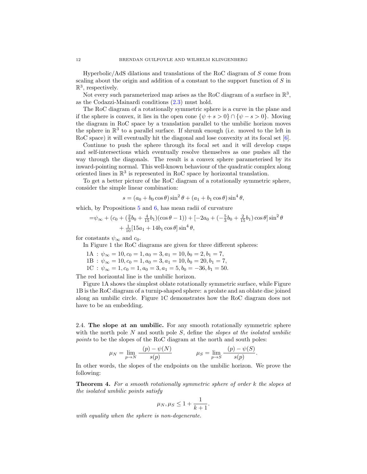Hyperbolic/AdS dilations and translations of the RoC diagram of  $S$  come from scaling about the origin and addition of a constant to the support function of S in  $\mathbb{R}^3$ , respectively.

Not every such parameterized map arises as the RoC diagram of a surface in  $\mathbb{R}^3$ , as the Codazzi-Mainardi conditions [\(2.3\)](#page-7-1) must hold.

The RoC diagram of a rotationally symmetric sphere is a curve in the plane and if the sphere is convex, it lies in the open cone  $\{\psi + s > 0\} \cap \{\psi - s > 0\}$ . Moving the diagram in RoC space by a translation parallel to the umbilic horizon moves the sphere in  $\mathbb{R}^3$  to a parallel surface. If shrunk enough (i.e. moved to the left in RoC space) it will eventually hit the diagonal and lose convexity at its focal set [\[6\]](#page-24-17).

Continue to push the sphere through its focal set and it will develop cusps and self-intersections which eventually resolve themselves as one pushes all the way through the diagonals. The result is a convex sphere parameterised by its inward-pointing normal. This well-known behaviour of the quadratic complex along oriented lines in  $\mathbb{R}^3$  is represented in RoC space by horizontal translation.

To get a better picture of the RoC diagram of a rotationally symmetric sphere, consider the simple linear combination:

$$
s = (a_0 + b_0 \cos \theta) \sin^2 \theta + (a_1 + b_1 \cos \theta) \sin^4 \theta,
$$

which, by Propositions [5](#page-8-5) and [6,](#page-10-0) has mean radii of curvature

$$
= \psi_{\infty} + (c_0 + (\frac{2}{3}b_0 + \frac{4}{15}b_1)(\cos\theta - 1)) + [-2a_0 + (-\frac{5}{3}b_0 + \frac{2}{15}b_1)\cos\theta]\sin^2\theta + \frac{1}{10}[15a_1 + 14b_1\cos\theta]\sin^4\theta,
$$

for constants  $\psi_{\infty}$  and  $c_0$ .

In Figure 1 the RoC diagrams are given for three different spheres:

 $1A : \psi_{\infty} = 10, c_0 = 1, a_0 = 3, a_1 = 10, b_0 = 2, b_1 = 7,$  $1B : \psi_{\infty} = 10, c_0 = 1, a_0 = 3, a_1 = 10, b_0 = 20, b_1 = 7,$ 

1C :  $\psi_{\infty} = 1, c_0 = 1, a_0 = 3, a_1 = 5, b_0 = -36, b_1 = 50.$ 

The red horizontal line is the umbilic horizon.

Figure 1A shows the simplest oblate rotationally symmetric surface, while Figure 1B is the RoC diagram of a turnip-shaped sphere: a prolate and an oblate disc joined along an umbilic circle. Figure 1C demonstrates how the RoC diagram does not have to be an embedding.

<span id="page-12-0"></span>2.4. The slope at an umbilic. For any smooth rotationally symmetric sphere with the north pole  $N$  and south pole  $S$ , define the *slopes at the isolated umbilic* points to be the slopes of the RoC diagram at the north and south poles:

$$
\mu_N = \lim_{p \to N} \frac{(p) - \psi(N)}{s(p)}
$$
\n $\mu_S = \lim_{p \to S} \frac{(p) - \psi(S)}{s(p)}$ 

In other words, the slopes of the endpoints on the umbilic horizon. We prove the following:

<span id="page-12-1"></span>Theorem 4. For a smooth rotationally symmetric sphere of order k the slopes at the isolated umbilic points satisfy

$$
\mu_N, \mu_S \le 1 + \frac{1}{k+1}.
$$

with equality when the sphere is non-degenerate.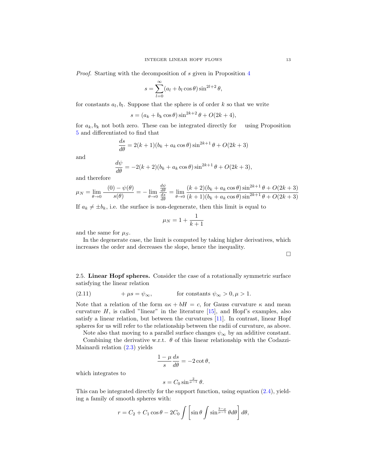Proof. Starting with the decomposition of s given in Proposition [4](#page-7-3)

$$
s = \sum_{l=0}^{\infty} (a_l + b_l \cos \theta) \sin^{2l+2} \theta,
$$

for constants  $a_l, b_l$ . Suppose that the sphere is of order k so that we write

$$
s = (a_k + b_k \cos \theta) \sin^{2k+2} \theta + O(2k+4),
$$

for  $a_k, b_k$  not both zero. These can be integrated directly for using Proposition [5](#page-8-5) and differentiated to find that

$$
\frac{ds}{d\theta} = 2(k+1)(b_k + a_k \cos \theta) \sin^{2k+1} \theta + O(2k+3)
$$

and

$$
\frac{d\psi}{d\theta} = -2(k+2)(b_k + a_k \cos \theta) \sin^{2k+1} \theta + O(2k+3),
$$

and therefore

$$
\mu_N = \lim_{\theta \to 0} \frac{(0) - \psi(\theta)}{s(\theta)} = -\lim_{\theta \to 0} \frac{\frac{d\psi}{d\theta}}{\frac{ds}{d\theta}} = \lim_{\theta \to 0} \frac{(k+2)(b_k + a_k \cos \theta) \sin^{2k+1} \theta + O(2k+3)}{(k+1)(b_k + a_k \cos \theta) \sin^{2k+1} \theta + O(2k+3)}
$$

If  $a_k \neq \pm b_k$ , i.e. the surface is non-degenerate, then this limit is equal to

$$
\mu_N = 1 + \frac{1}{k+1}
$$

and the same for  $\mu_S$ .

In the degenerate case, the limit is computed by taking higher derivatives, which increases the order and decreases the slope, hence the inequality.

 $\Box$ 

<span id="page-13-0"></span>2.5. Linear Hopf spheres. Consider the case of a rotationally symmetric surface satisfying the linear relation

<span id="page-13-1"></span>(2.11) 
$$
+\mu s = \psi_{\infty}, \qquad \text{for constants } \psi_{\infty} > 0, \mu > 1.
$$

Note that a relation of the form  $a\kappa + bH = c$ , for Gauss curvature  $\kappa$  and mean curvature  $H$ , is called "linear" in the literature  $[15]$ , and Hopf's examples, also satisfy a linear relation, but between the curvatures [\[11\]](#page-24-14). In contrast, linear Hopf spheres for us will refer to the relationship between the radii of curvature, as above.

Note also that moving to a parallel surface changes  $\psi_{\infty}$  by an additive constant. Combining the derivative w.r.t.  $\theta$  of this linear relationship with the Codazzi-Mainardi relation [\(2.3\)](#page-7-1) yields

$$
\frac{1-\mu}{s}\frac{ds}{d\theta} = -2\cot\theta,
$$

which integrates to

$$
s = C_0 \sin^{\frac{2}{\mu - 1}} \theta.
$$

This can be integrated directly for the support function, using equation  $(2.4)$ , yielding a family of smooth spheres with:

$$
r = C_2 + C_1 \cos \theta - 2C_0 \int \left[ \sin \theta \int \sin \frac{3-\mu}{\mu - 1} \theta d\theta \right] d\theta,
$$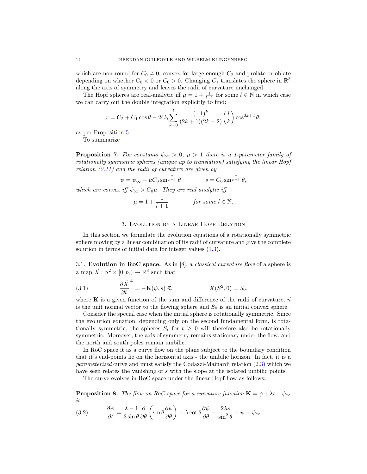which are non-round for  $C_0 \neq 0$ , convex for large enough  $C_2$  and prolate or oblate depending on whether  $C_0 < 0$  or  $C_0 > 0$ . Changing  $C_1$  translates the sphere in  $\mathbb{R}^3$ along the axis of symmetry and leaves the radii of curvature unchanged.

The Hopf spheres are real-analytic iff  $\mu = 1 + \frac{1}{l+1}$  for some  $l \in \mathbb{N}$  in which case we can carry out the double integration explicitly to find:

$$
r = C_2 + C_1 \cos \theta - 2C_0 \sum_{k=0}^{l} \frac{(-1)^k}{(2k+1)(2k+2)} {l \choose k} \cos^{2k+2} \theta,
$$

as per Proposition [5.](#page-8-5)

To summarize

<span id="page-14-3"></span>**Proposition 7.** For constants  $\psi_{\infty} > 0$ ,  $\mu > 1$  there is a 1-parameter family of rotationally symmetric spheres (unique up to translation) satisfying the linear Hopf relation  $(2.11)$  and the radii of curvature are given by

 $\psi = \psi_{\infty} - \mu C_0 \sin^{\frac{2}{\mu-1}} \theta \qquad \qquad s = C_0 \sin^{\frac{2}{\mu-1}} \theta,$ 

which are convex iff  $\psi_{\infty} > C_0 \mu$ . They are real analytic iff

$$
\mu = 1 + \frac{1}{l+1} \qquad \text{for some } l \in \mathbb{N}.
$$

## 3. Evolution by a Linear Hopf Relation

<span id="page-14-0"></span>In this section we formulate the evolution equations of a rotationally symmetric sphere moving by a linear combination of its radii of curvature and give the complete solution in terms of initial data for integer values  $(1.3)$ .

<span id="page-14-1"></span>3.1. Evolution in RoC space. As in  $[8]$ , a *classical curvature flow* of a sphere is a map  $\vec{X}$  :  $S^2 \times [0, t_1) \rightarrow \mathbb{R}^3$  such that

<span id="page-14-2"></span>(3.1) 
$$
\frac{\partial \vec{X}}{\partial t}^{\perp} = -\mathbf{K}(\psi, s) \vec{n}, \qquad \vec{X}(S^2, 0) = S_0,
$$

where K is a given function of the sum and difference of the radii of curvature,  $\vec{n}$ is the unit normal vector to the flowing sphere and  $S_0$  is an initial convex sphere.

Consider the special case when the initial sphere is rotationally symmetric. Since the evolution equation, depending only on the second fundamental form, is rotationally symmetric, the spheres  $S_t$  for  $t \geq 0$  will therefore also be rotationally symmetric. Moreover, the axis of symmetry remains stationary under the flow, and the north and south poles remain umbilic.

In RoC space it as a curve flow on the plane subject to the boundary condition that it's end-points lie on the horizontal axis - the umbilic horizon. In fact, it is a parameterized curve and must satisfy the Codazzi-Mainardi relation [\(2.3\)](#page-7-1) which we have seen relates the vanishing of s with the slope at the isolated umbilic points.

The curve evolves in RoC space under the linear Hopf flow as follows:

**Proposition 8.** The flow on RoC space for a curvature function  $\mathbf{K} = \psi + \lambda s - \psi_{\infty}$ is

<span id="page-14-4"></span>(3.2) 
$$
\frac{\partial \psi}{\partial t} = \frac{\lambda - 1}{2 \sin \theta} \frac{\partial}{\partial \theta} \left( \sin \theta \frac{\partial \psi}{\partial \theta} \right) - \lambda \cot \theta \frac{\partial \psi}{\partial \theta} - \frac{2\lambda s}{\sin^2 \theta} - \psi + \psi_{\infty}
$$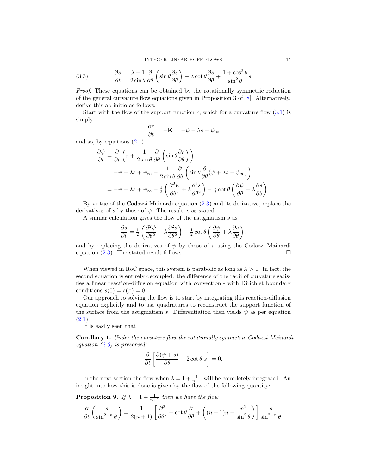<span id="page-15-0"></span>(3.3) 
$$
\frac{\partial s}{\partial t} = \frac{\lambda - 1}{2 \sin \theta} \frac{\partial}{\partial \theta} \left( \sin \theta \frac{\partial s}{\partial \theta} \right) - \lambda \cot \theta \frac{\partial s}{\partial \theta} + \frac{1 + \cos^2 \theta}{\sin^2 \theta} s.
$$

Proof. These equations can be obtained by the rotationally symmetric reduction of the general curvature flow equations given in Proposition 3 of [\[8\]](#page-24-16). Alternatively, derive this ab initio as follows.

Start with the flow of the support function  $r$ , which for a curvature flow  $(3.1)$  is simply

$$
\frac{\partial r}{\partial t} = -\mathbf{K} = -\psi - \lambda s + \psi_{\infty}
$$

and so, by equations  $(2.1)$ 

$$
\frac{\partial \psi}{\partial t} = \frac{\partial}{\partial t} \left( r + \frac{1}{2 \sin \theta} \frac{\partial}{\partial \theta} \left( \sin \theta \frac{\partial r}{\partial \theta} \right) \right)
$$
  
=  $-\psi - \lambda s + \psi_{\infty} - \frac{1}{2 \sin \theta} \frac{\partial}{\partial \theta} \left( \sin \theta \frac{\partial}{\partial \theta} (\psi + \lambda s - \psi_{\infty}) \right)$   
=  $-\psi - \lambda s + \psi_{\infty} - \frac{1}{2} \left( \frac{\partial^2 \psi}{\partial \theta^2} + \lambda \frac{\partial^2 s}{\partial \theta^2} \right) - \frac{1}{2} \cot \theta \left( \frac{\partial \psi}{\partial \theta} + \lambda \frac{\partial s}{\partial \theta} \right).$ 

By virtue of the Codazzi-Mainardi equation [\(2.3\)](#page-7-1) and its derivative, replace the derivatives of s by those of  $\psi$ . The result is as stated.

A similar calculation gives the flow of the astigmatism s as

$$
\frac{\partial s}{\partial t} = \frac{1}{2} \left( \frac{\partial^2 \psi}{\partial \theta^2} + \lambda \frac{\partial^2 s}{\partial \theta^2} \right) - \frac{1}{2} \cot \theta \left( \frac{\partial \psi}{\partial \theta} + \lambda \frac{\partial s}{\partial \theta} \right),\,
$$

and by replacing the derivatives of  $\psi$  by those of s using the Codazzi-Mainardi equation [\(2.3\)](#page-7-1). The stated result follows.  $\Box$ 

When viewed in RoC space, this system is parabolic as long as  $\lambda > 1$ . In fact, the second equation is entirely decoupled: the difference of the radii of curvature satisfies a linear reaction-diffusion equation with convection - with Dirichlet boundary conditions  $s(0) = s(\pi) = 0$ .

Our approach to solving the flow is to start by integrating this reaction-diffusion equation explicitly and to use quadratures to reconstruct the support function of the surface from the astigmatism s. Differentiation then yields  $\psi$  as per equation  $(2.1).$  $(2.1).$ 

It is easily seen that

Corollary 1. Under the curvature flow the rotationally symmetric Codazzi-Mainardi equation  $(2.3)$  is preserved:

$$
\frac{\partial}{\partial t} \left[ \frac{\partial (\psi + s)}{\partial \theta} + 2 \cot \theta \ s \right] = 0.
$$

In the next section the flow when  $\lambda = 1 + \frac{1}{n+1}$  will be completely integrated. An insight into how this is done is given by the flow of the following quantity:

<span id="page-15-1"></span>**Proposition 9.** If  $\lambda = 1 + \frac{1}{n+1}$  then we have the flow

$$
\frac{\partial}{\partial t} \left( \frac{s}{\sin^{2+n} \theta} \right) = \frac{1}{2(n+1)} \left[ \frac{\partial^2}{\partial \theta^2} + \cot \theta \frac{\partial}{\partial \theta} + \left( (n+1)n - \frac{n^2}{\sin^2 \theta} \right) \right] \frac{s}{\sin^{2+n} \theta}.
$$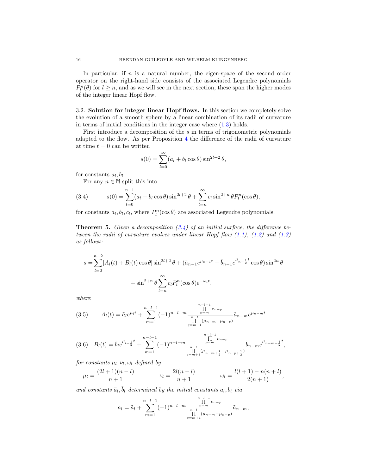In particular, if  $n$  is a natural number, the eigen-space of the second order operator on the right-hand side consists of the associated Legendre polynomials  $P_l^n(\theta)$  for  $l \geq n$ , and as we will see in the next section, these span the higher modes of the integer linear Hopf flow.

<span id="page-16-0"></span>3.2. Solution for integer linear Hopf flows. In this section we completely solve the evolution of a smooth sphere by a linear combination of its radii of curvature in terms of initial conditions in the integer case where  $(1.3)$  holds.

First introduce a decomposition of the s in terms of trigonometric polynomials adapted to the flow. As per Proposition [4](#page-7-3) the difference of the radii of curvature at time  $t = 0$  can be written

$$
s(0) = \sum_{l=0}^{\infty} (a_l + b_l \cos \theta) \sin^{2l+2} \theta,
$$

for constants  $a_l, b_l$ .

<span id="page-16-2"></span>For any  $n \in \mathbb{N}$  split this into

(3.4) 
$$
s(0) = \sum_{l=0}^{n-1} (a_l + b_l \cos \theta) \sin^{2l+2} \theta + \sum_{l=n}^{\infty} c_l \sin^{2+n} \theta P_l^n(\cos \theta),
$$

for constants  $a_l, b_l, c_l$ , where  $P_l^n(\cos \theta)$  are associated Legendre polynomials.

<span id="page-16-1"></span>**Theorem 5.** Given a decomposition  $(3.4)$  of an initial surface, the difference between the radii of curvature evolves under linear Hopf flow  $(1.1)$ ,  $(1.2)$  and  $(1.3)$ as follows:

$$
s = \sum_{l=0}^{n-2} [A_l(t) + B_l(t) \cos \theta] \sin^{2l+2} \theta + (\tilde{a}_{n-1} e^{\mu_{n-1}t} + \tilde{b}_{n-1} e^{\mu_{n-\frac{1}{2}}t} \cos \theta) \sin^{2n} \theta
$$

$$
+ \sin^{2+n} \theta \sum_{l=n}^{\infty} c_l P_l^n(\cos \theta) e^{-\omega_l t},
$$

where

<span id="page-16-3"></span>
$$
(3.5) \qquad A_l(t) = \tilde{a}_l e^{\mu_l t} + \sum_{m=1}^{n-l-1} (-1)^{n-l-m} \frac{\prod_{p=m}^{n-l-1} \nu_{n-p}}{\prod_{q=m+1}^{n-l} (\mu_{n-m} - \mu_{n-p})} \tilde{a}_{n-m} e^{\mu_{n-m} t}
$$

<span id="page-16-4"></span>
$$
(3.6) \quad B_l(t) = \tilde{b}_l e^{\mu_{l+\frac{1}{2}}t} + \sum_{m=1}^{n-l-1} (-1)^{n-l-m} \frac{\prod_{p=m}^{n-l-1} \nu_{n-p}}{\prod_{q=m+1}^{n-l} (\mu_{n-m+\frac{1}{2}} - \mu_{n-p+\frac{1}{2}})} \tilde{b}_{n-m} e^{\mu_{n-m+\frac{1}{2}}t},
$$

for constants  $\mu_l, \nu_l, \omega_l$  defined by

$$
\mu_l = \frac{(2l+1)(n-l)}{n+1} \qquad \qquad \nu_l = \frac{2l(n-l)}{n+1} \qquad \qquad \omega_l = \frac{l(l+1) - n(n+l)}{2(n+1)},
$$

and constants  $\tilde{a}_l$ ,  $\tilde{b}_l$  determined by the initial constants  $a_l$ ,  $b_l$  via

$$
a_{l} = \tilde{a}_{l} + \sum_{m=1}^{n-l-1} (-1)^{n-l-m} \frac{\prod_{p=m}^{n-l-1} \nu_{n-p}}{\prod_{q=m+1}^{n-l} (\mu_{n-m} - \mu_{n-p})} \tilde{a}_{n-m},
$$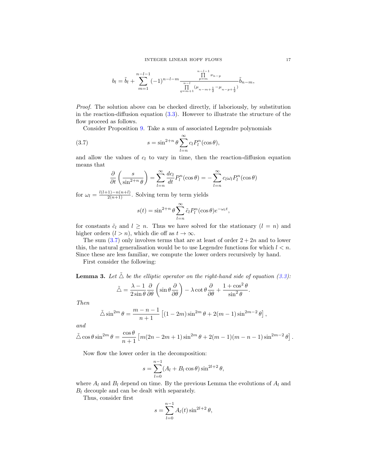$$
b_l = \tilde{b}_l + \sum_{m=1}^{n-l-1} (-1)^{n-l-m} \frac{\prod_{p=m}^{n-l-1} \nu_{n-p}}{\prod_{q=m+1}^{n-l} (\mu_{n-m+\frac{1}{2}} - \mu_{n-p+\frac{1}{2}})} \tilde{b}_{n-m},
$$

Proof. The solution above can be checked directly, if laboriously, by substitution in the reaction-diffusion equation [\(3.3\)](#page-15-0). However to illustrate the structure of the flow proceed as follows.

Consider Proposition [9.](#page-15-1) Take a sum of associated Legendre polynomials

(3.7) 
$$
s = \sin^{2+n} \theta \sum_{l=n}^{\infty} c_l P_l^n(\cos \theta),
$$

and allow the values of  $c_l$  to vary in time, then the reaction-diffusion equation means that

<span id="page-17-0"></span>
$$
\frac{\partial}{\partial t} \left( \frac{s}{\sin^{2+n} \theta} \right) = \sum_{l=n}^{\infty} \frac{dc_l}{dt} P_l^n(\cos \theta) = -\sum_{l=n}^{\infty} c_l \omega_l P_l^n(\cos \theta)
$$

for  $\omega_l = \frac{l(l+1)-n(n+l)}{2(n+1)}$ . Solving term by term yields

$$
s(t) = \sin^{2+n} \theta \sum_{l=n}^{\infty} \tilde{c}_l P_l^n(\cos \theta) e^{-\omega_l t},
$$

for constants  $\tilde{c}_l$  and  $l \geq n$ . Thus we have solved for the stationary  $(l = n)$  and higher orders  $(l > n)$ , which die off as  $t \to \infty$ .

The sum  $(3.7)$  only involves terms that are at least of order  $2 + 2n$  and to lower this, the natural generalisation would be to use Legendre functions for which  $l < n$ . Since these are less familiar, we compute the lower orders recursively by hand.

First consider the following:

<span id="page-17-1"></span>**Lemma 3.** Let  $\tilde{\triangle}$  be the elliptic operator on the right-hand side of equation [\(3.3\)](#page-15-0):

$$
\tilde{\triangle} = \frac{\lambda - 1}{2 \sin \theta} \frac{\partial}{\partial \theta} \left( \sin \theta \frac{\partial}{\partial \theta} \right) - \lambda \cot \theta \frac{\partial}{\partial \theta} + \frac{1 + \cos^2 \theta}{\sin^2 \theta}.
$$

Then

$$
\tilde{\triangle} \sin^{2m} \theta = \frac{m-n-1}{n+1} \left[ (1-2m) \sin^{2m} \theta + 2(m-1) \sin^{2m-2} \theta \right],
$$

and

$$
\tilde{\triangle} \cos \theta \sin^{2m} \theta = \frac{\cos \theta}{n+1} \left[ m(2n-2m+1) \sin^{2m} \theta + 2(m-1)(m-n-1) \sin^{2m-2} \theta \right].
$$

Now flow the lower order in the decomposition:

$$
s = \sum_{l=0}^{n-1} (A_l + B_l \cos \theta) \sin^{2l+2} \theta,
$$

where  $A_l$  and  $B_l$  depend on time. By the previous Lemma the evolutions of  $A_l$  and  $B_l$  decouple and can be dealt with separately.

Thus, consider first

$$
s = \sum_{l=0}^{n-1} A_l(t) \sin^{2l+2} \theta,
$$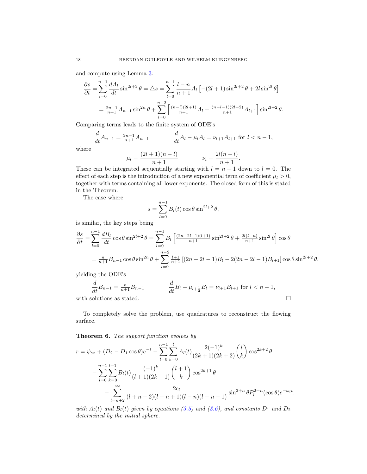and compute using Lemma [3:](#page-17-1)

$$
\frac{\partial s}{\partial t} = \sum_{l=0}^{n-1} \frac{dA_l}{dt} \sin^{2l+2} \theta = \tilde{\Delta} s = \sum_{l=0}^{n-1} \frac{l-n}{n+1} A_l \left[ -(2l+1) \sin^{2l+2} \theta + 2l \sin^{2l} \theta \right]
$$

$$
= \frac{2n-1}{n+1} A_{n-1} \sin^{2n} \theta + \sum_{l=0}^{n-2} \left[ \frac{(n-l)(2l+1)}{n+1} A_l - \frac{(n-l-1)(2l+2)}{n+1} A_{l+1} \right] \sin^{2l+2} \theta.
$$

Comparing terms leads to the finite system of ODE's

$$
\frac{d}{dt}A_{n-1} = \frac{2n-1}{n+1}A_{n-1} \qquad \qquad \frac{d}{dt}A_l - \mu_l A_l = \nu_{l+1}A_{l+1} \text{ for } l < n-1,
$$

where

$$
\mu_l = \frac{(2l+1)(n-l)}{n+1} \qquad \qquad \nu_l = \frac{2l(n-l)}{n+1}.
$$

These can be integrated sequentially starting with  $l = n - 1$  down to  $l = 0$ . The effect of each step is the introduction of a new exponential term of coefficient  $\mu_l > 0$ , together with terms containing all lower exponents. The closed form of this is stated in the Theorem.

The case where

$$
s = \sum_{l=0}^{n-1} B_l(t) \cos \theta \sin^{2l+2} \theta,
$$

is similar, the key steps being

$$
\frac{\partial s}{\partial t} = \sum_{l=0}^{n-1} \frac{dB_l}{dt} \cos \theta \sin^{2l+2} \theta = \sum_{l=0}^{n-1} B_l \left[ \frac{(2n-2l-1)(l+1)}{n+1} \sin^{2l+2} \theta + \frac{2l(l-n)}{n+1} \sin^{2l} \theta \right] \cos \theta
$$

$$
= \frac{n}{n+1} B_{n-1} \cos \theta \sin^{2n} \theta + \sum_{l=0}^{n-2} \frac{l+1}{n+1} \left[ (2n-2l-1)B_l - 2(2n-2l-1)B_{l+1} \right] \cos \theta \sin^{2l+2} \theta,
$$

yielding the ODE's

$$
\frac{d}{dt}B_{n-1} = \frac{n}{n+1}B_{n-1} \qquad \qquad \frac{d}{dt}B_l - \mu_{l+\frac{1}{2}}B_l = \nu_{l+1}B_{l+1} \text{ for } l < n-1,
$$

with solutions as stated.  $\hfill \square$ 

To completely solve the problem, use quadratures to reconstruct the flowing surface.

<span id="page-18-0"></span>Theorem 6. The support function evolves by

$$
r = \psi_{\infty} + (D_2 - D_1 \cos \theta)e^{-t} - \sum_{l=0}^{n-1} \sum_{k=0}^{l} A_l(t) \frac{2(-1)^k}{(2k+1)(2k+2)} {l \choose k} \cos^{2k+2} \theta
$$
  

$$
- \sum_{l=0}^{n-1} \sum_{k=0}^{l+1} B_l(t) \frac{(-1)^k}{(l+1)(2k+1)} {l+1 \choose k} \cos^{2k+1} \theta
$$
  

$$
- \sum_{l=n+2}^{\infty} \frac{2c_l}{(l+n+2)(l+n+1)(l-n)(l-n-1)} \sin^{2+n} \theta P_l^{2+n} (\cos \theta) e^{-\omega_l t}.
$$

with  $A_l(t)$  and  $B_l(t)$  given by equations [\(3.5\)](#page-16-3) and [\(3.6\)](#page-16-4), and constants  $D_1$  and  $D_2$ determined by the initial sphere.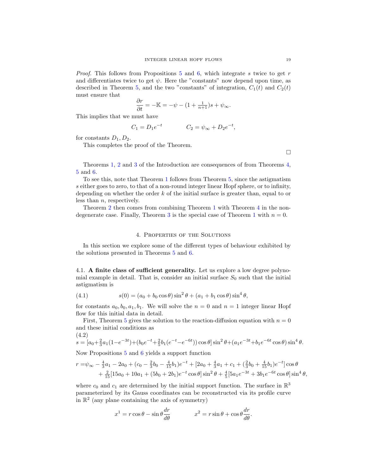*Proof.* This follows from Propositions [5](#page-8-5) and [6,](#page-10-0) which integrate s twice to get r and differentiates twice to get  $\psi$ . Here the "constants" now depend upon time, as described in Theorem [5,](#page-16-1) and the two "constants" of integration,  $C_1(t)$  and  $C_2(t)$ must ensure that

$$
\frac{\partial r}{\partial t} = -\mathbb{K} = -\psi - (1 + \frac{1}{n+1})s + \psi_{\infty}.
$$

This implies that we must have

$$
C_1 = D_1 e^{-t} \qquad C_2 = \psi_{\infty} + D_2 e^{-t},
$$

for constants  $D_1, D_2$ .

This completes the proof of the Theorem.

 $\Box$ 

Theorems [1,](#page-4-1) [2](#page-5-0) and [3](#page-5-1) of the Introduction are consequences of from Theorems [4,](#page-12-1) [5](#page-16-1) and [6.](#page-18-0)

To see this, note that Theorem [1](#page-4-1) follows from Theorem [5,](#page-16-1) since the astigmatism s either goes to zero, to that of a non-round integer linear Hopf sphere, or to infinity, depending on whether the order  $k$  of the initial surface is greater than, equal to or less than n, respectively.

Theorem [2](#page-5-0) then comes from combining Theorem [1](#page-4-1) with Theorem [4](#page-12-1) in the non-degenerate case. Finally, Theorem [3](#page-5-1) is the special case of Theorem [1](#page-4-1) with  $n = 0$ .

#### 4. Properties of the Solutions

<span id="page-19-0"></span>In this section we explore some of the different types of behaviour exhibited by the solutions presented in Theorems [5](#page-16-1) and [6.](#page-18-0)

<span id="page-19-1"></span>4.1. A finite class of sufficient generality. Let us explore a low degree polynomial example in detail. That is, consider an initial surface  $S_0$  such that the initial astigmatism is

<span id="page-19-3"></span>(4.1) 
$$
s(0) = (a_0 + b_0 \cos \theta) \sin^2 \theta + (a_1 + b_1 \cos \theta) \sin^4 \theta,
$$

for constants  $a_0, b_0, a_1, b_1$ . We will solve the  $n = 0$  and  $n = 1$  integer linear Hopf flow for this initial data in detail.

First, Theorem [5](#page-16-1) gives the solution to the reaction-diffusion equation with  $n = 0$ and these initial conditions as (4.2)

<span id="page-19-2"></span>
$$
s = [a_0 + \frac{2}{3}a_1(1 - e^{-3t}) + (b_0e^{-t} + \frac{2}{5}b_1(e^{-t} - e^{-6t}))\cos\theta]\sin^2\theta + (a_1e^{-3t} + b_1e^{-6t}\cos\theta)\sin^4\theta.
$$

Now Propositions [5](#page-8-5) and [6](#page-10-0) yields a support function

$$
r = \psi_{\infty} - \frac{4}{3}a_1 - 2a_0 + (c_0 - \frac{2}{3}b_0 - \frac{4}{15}b_1)e^{-t} + [2a_0 + \frac{4}{3}a_1 + c_1 + (\frac{2}{3}b_0 + \frac{4}{15}b_1)e^{-t}] \cos \theta + \frac{2}{15}[15a_0 + 10a_1 + (5b_0 + 2b_1)e^{-t} \cos \theta] \sin^2 \theta + \frac{4}{5}[5a_1e^{-3t} + 3b_1e^{-6t} \cos \theta] \sin^4 \theta,
$$

where  $c_0$  and  $c_1$  are determined by the initial support function. The surface in  $\mathbb{R}^3$ parameterized by its Gauss coordinates can be reconstructed via its profile curve in  $\mathbb{R}^2$  (any plane containing the axis of symmetry)

$$
x^{1} = r \cos \theta - \sin \theta \frac{dr}{d\theta} \qquad x^{2} = r \sin \theta + \cos \theta \frac{dr}{d\theta}.
$$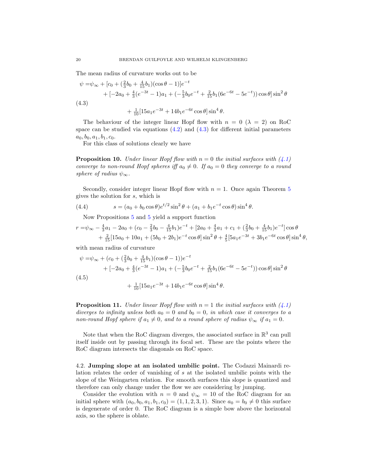The mean radius of curvature works out to be

<span id="page-20-1"></span>
$$
\psi = \psi_{\infty} + [c_0 + (\frac{2}{3}b_0 + \frac{4}{15}b_1)(\cos\theta - 1)]e^{-t} \n+ [-2a_0 + \frac{4}{3}(e^{-3t} - 1)a_1 + (-\frac{5}{3}b_0e^{-t} + \frac{2}{15}b_1(6e^{-6t} - 5e^{-t}))\cos\theta]\sin^2\theta \n+ \frac{1}{10}[15a_1e^{-3t} + 14b_1e^{-6t}\cos\theta]\sin^4\theta.
$$

The behaviour of the integer linear Hopf flow with  $n = 0$  ( $\lambda = 2$ ) on RoC space can be studied via equations  $(4.2)$  and  $(4.3)$  for different initial parameters  $a_0, b_0, a_1, b_1, c_0.$ 

For this class of solutions clearly we have

**Proposition 10.** Under linear Hopf flow with  $n = 0$  the initial surfaces with  $(4.1)$ converge to non-round Hopf spheres iff  $a_0 \neq 0$ . If  $a_0 = 0$  they converge to a round sphere of radius  $\psi_{\infty}$ .

Secondly, consider integer linear Hopf flow with  $n = 1$ . Once again Theorem [5](#page-16-1) gives the solution for s, which is

(4.4) 
$$
s = (a_0 + b_0 \cos \theta) e^{t/2} \sin^2 \theta + (a_1 + b_1 e^{-t} \cos \theta) \sin^4 \theta.
$$

<span id="page-20-2"></span>Now Propositions [5](#page-8-5) and [5](#page-8-5) yield a support function

$$
r = \psi_{\infty} - \frac{4}{3}a_1 - 2a_0 + (c_0 - \frac{2}{3}b_0 - \frac{4}{15}b_1)e^{-t} + [2a_0 + \frac{4}{3}a_1 + c_1 + (\frac{2}{3}b_0 + \frac{4}{15}b_1)e^{-t}] \cos \theta + \frac{2}{15}[15a_0 + 10a_1 + (5b_0 + 2b_1)e^{-t} \cos \theta] \sin^2 \theta + \frac{4}{5}[5a_1e^{-3t} + 3b_1e^{-6t} \cos \theta] \sin^4 \theta,
$$

with mean radius of curvature

<span id="page-20-3"></span>
$$
\psi = \psi_{\infty} + (c_0 + (\frac{2}{3}b_0 + \frac{4}{15}b_1)(\cos\theta - 1))e^{-t} \n+ [-2a_0 + \frac{4}{3}(e^{-3t} - 1)a_1 + (-\frac{5}{3}b_0e^{-t} + \frac{2}{15}b_1(6e^{-6t} - 5e^{-t}))\cos\theta]\sin^2\theta \n+ \frac{1}{10}[15a_1e^{-3t} + 14b_1e^{-6t}\cos\theta]\sin^4\theta.
$$

**Proposition 11.** Under linear Hopf flow with  $n = 1$  the initial surfaces with  $(4.1)$ diverges to infinity unless both  $a_0 = 0$  and  $b_0 = 0$ , in which case it converges to a non-round Hopf sphere if  $a_1 \neq 0$ , and to a round sphere of radius  $\psi_{\infty}$  if  $a_1 = 0$ .

Note that when the RoC diagram diverges, the associated surface in  $\mathbb{R}^3$  can pull itself inside out by passing through its focal set. These are the points where the RoC diagram intersects the diagonals on RoC space.

<span id="page-20-0"></span>4.2. Jumping slope at an isolated umbilic point. The Codazzi Mainardi relation relates the order of vanishing of s at the isolated umbilic points with the slope of the Weingarten relation. For smooth surfaces this slope is quantized and therefore can only change under the flow we are considering by jumping.

Consider the evolution with  $n = 0$  and  $\psi_{\infty} = 10$  of the RoC diagram for an initial sphere with  $(a_0, b_0, a_1, b_1, c_0) = (1, 1, 2, 3, 1)$ . Since  $a_0 = b_0 \neq 0$  this surface is degenerate of order 0. The RoC diagram is a simple bow above the horizontal axis, so the sphere is oblate.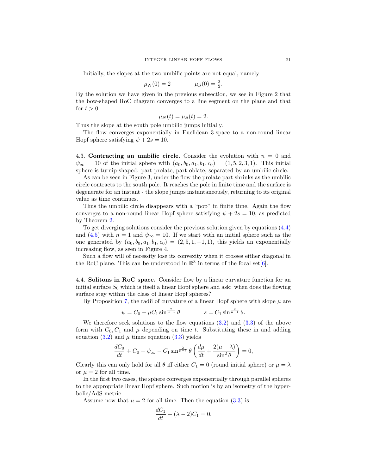Initially, the slopes at the two umbilic points are not equal, namely

$$
\mu_N(0) = 2
$$
  $\mu_S(0) = \frac{3}{2}.$ 

By the solution we have given in the previous subsection, we see in Figure 2 that the bow-shaped RoC diagram converges to a line segment on the plane and that for  $t > 0$ 

$$
\mu_N(t) = \mu_S(t) = 2.
$$

Thus the slope at the south pole umbilic jumps initially.

The flow converges exponentially in Euclidean 3-space to a non-round linear Hopf sphere satisfying  $\psi + 2s = 10$ .

<span id="page-21-0"></span>4.3. Contracting an umbilic circle. Consider the evolution with  $n = 0$  and  $\psi_{\infty} = 10$  of the initial sphere with  $(a_0, b_0, a_1, b_1, c_0) = (1, 5, 2, 3, 1)$ . This initial sphere is turnip-shaped: part prolate, part oblate, separated by an umbilic circle.

As can be seen in Figure 3, under the flow the prolate part shrinks as the umbilic circle contracts to the south pole. It reaches the pole in finite time and the surface is degenerate for an instant - the slope jumps instantaneously, returning to its original value as time continues.

Thus the umbilic circle disappears with a "pop" in finite time. Again the flow converges to a non-round linear Hopf sphere satisfying  $\psi + 2s = 10$ , as predicted by Theorem [2.](#page-5-0)

To get diverging solutions consider the previous solution given by equations [\(4.4\)](#page-20-2) and [\(4.5\)](#page-20-3) with  $n = 1$  and  $\psi_{\infty} = 10$ . If we start with an initial sphere such as the one generated by  $(a_0, b_0, a_1, b_1, c_0) = (2, 5, 1, -1, 1)$ , this yields an exponentially increasing flow, as seen in Figure 4.

Such a flow will of necessity lose its convexity when it crosses either diagonal in the RoC plane. This can be understood in  $\mathbb{R}^3$  in terms of the focal set [\[6\]](#page-24-17).

<span id="page-21-1"></span>4.4. Solitons in RoC space. Consider flow by a linear curvature function for an initial surface  $S_0$  which is itself a linear Hopf sphere and ask: when does the flowing surface stay within the class of linear Hopf spheres?

By Proposition [7,](#page-14-3) the radii of curvature of a linear Hopf sphere with slope  $\mu$  are

$$
\psi = C_0 - \mu C_1 \sin^{\frac{2}{\mu - 1}} \theta \qquad s = C_1 \sin^{\frac{2}{\mu - 1}} \theta.
$$

We therefore seek solutions to the flow equations  $(3.2)$  and  $(3.3)$  of the above form with  $C_0, C_1$  and  $\mu$  depending on time t. Substituting these in and adding equation  $(3.2)$  and  $\mu$  times equation  $(3.3)$  yields

$$
\frac{dC_0}{dt} + C_0 - \psi_{\infty} - C_1 \sin \frac{2}{\mu - 1} \theta \left( \frac{d\mu}{dt} + \frac{2(\mu - \lambda)}{\sin^2 \theta} \right) = 0,
$$

Clearly this can only hold for all  $\theta$  iff either  $C_1 = 0$  (round initial sphere) or  $\mu = \lambda$ or  $\mu = 2$  for all time.

In the first two cases, the sphere converges exponentially through parallel spheres to the appropriate linear Hopf sphere. Such motion is by an isometry of the hyperbolic/AdS metric.

Assume now that  $\mu = 2$  for all time. Then the equation [\(3.3\)](#page-15-0) is

$$
\frac{dC_1}{dt} + (\lambda - 2)C_1 = 0,
$$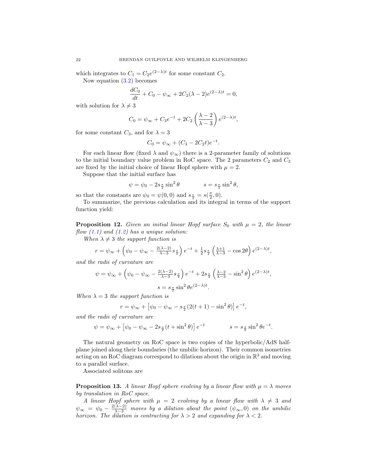which integrates to  $C_1 = C_2 e^{(2-\lambda)t}$  for some constant  $C_2$ .

Now equation [\(3.2\)](#page-14-4) becomes

$$
\frac{dC_0}{dt} + C_0 - \psi_{\infty} + 2C_2(\lambda - 2)e^{(2-\lambda)t} = 0,
$$

with solution for  $\lambda \neq 3$ 

$$
C_0 = \psi_{\infty} + C_3 e^{-t} + 2C_2 \left(\frac{\lambda - 2}{\lambda - 3}\right) e^{(2-\lambda)t},
$$

for some constant  $C_3$ , and for  $\lambda = 3$ 

$$
C_0 = \psi_{\infty} + (C_3 - 2C_2t)e^{-t}.
$$

For each linear flow (fixed  $\lambda$  and  $\psi_{\infty}$ ) there is a 2-parameter family of solutions to the initial boundary value problem in RoC space. The 2 parameters  $C_2$  and  $C_3$ are fixed by the initial choice of linear Hopf sphere with  $\mu = 2$ .

Suppose that the initial surface has

$$
\psi = \psi_0 - 2s_{\frac{\pi}{2}} \sin^2 \theta \qquad \qquad s = s_{\frac{\pi}{2}} \sin^2 \theta,
$$

so that the constants are  $\psi_0 = \psi(0,0)$  and  $s_{\frac{\pi}{2}} = s(\frac{\pi}{2},0)$ .

To summarize, the previous calculation and its integral in terms of the support function yield:

<span id="page-22-0"></span>**Proposition 12.** Given an initial linear Hopf surface  $S_0$  with  $\mu = 2$ , the linear flow  $(1.1)$  and  $(1.2)$  has a unique solution:

When  $\lambda \neq 3$  the support function is

$$
r = \psi_{\infty} + \left(\psi_0 - \psi_{\infty} - \frac{2(\lambda - 2)}{\lambda - 3} s_{\frac{\pi}{2}}\right) e^{-t} + \frac{1}{2} s_{\frac{\pi}{2}} \left(\frac{\lambda + 1}{\lambda - 3} - \cos 2\theta\right) e^{(2 - \lambda)t},
$$

and the radii of curvature are

$$
\psi = \psi_{\infty} + \left(\psi_0 - \psi_{\infty} - \frac{2(\lambda - 2)}{\lambda - 3} s_{\frac{\pi}{2}}\right) e^{-t} + 2s_{\frac{\pi}{2}} \left(\frac{\lambda - 2}{\lambda - 3} - \sin^2 \theta\right) e^{(2 - \lambda)t},
$$

$$
s = s_{\frac{\pi}{2}} \sin^2 \theta e^{(2 - \lambda)t}.
$$

When  $\lambda = 3$  the support function is

$$
r = \psi_{\infty} + [\psi_0 - \psi_{\infty} - s_{\frac{\pi}{2}}(2(t+1) - \sin^2 \theta)] e^{-t},
$$

and the radii of curvature are

$$
\psi = \psi_{\infty} + [\psi_0 - \psi_{\infty} - 2s_{\frac{\pi}{2}}(t + \sin^2 \theta)] e^{-t}
$$
   
\n $s = s_{\frac{\pi}{2}} \sin^2 \theta e^{-t}.$ 

The natural geometry on RoC space is two copies of the hyperbolic/AdS halfplane joined along their boundaries (the umbilic horizon). Their common isometries acting on an RoC diagram correspond to dilations about the origin in  $\mathbb{R}^3$  and moving to a parallel surface.

Associated solitons are

**Proposition 13.** A linear Hopf sphere evolving by a linear flow with  $\mu = \lambda$  moves by translation in RoC space.

A linear Hopf sphere with  $\mu = 2$  evolving by a linear flow with  $\lambda \neq 3$  and  $\psi_{\infty} = \psi_0 - \frac{2(\lambda - 2)}{\lambda - 3}$  moves by a dilation about the point  $(\psi_{\infty}, 0)$  on the umbilic horizon. The dilation is contracting for  $\lambda > 2$  and expanding for  $\lambda < 2$ .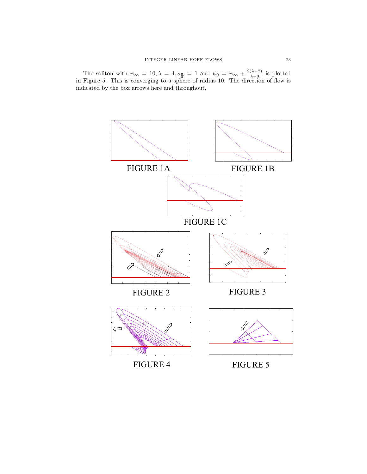The soliton with  $\psi_{\infty} = 10, \lambda = 4, s_{\frac{\pi}{2}} = 1$  and  $\psi_0 = \psi_{\infty} + \frac{2(\lambda - 2)}{\lambda - 3}$  $\frac{(\lambda-2)}{\lambda-3}$  is plotted in Figure 5. This is converging to a sphere of radius 10. The direction of flow is indicated by the box arrows here and throughout.